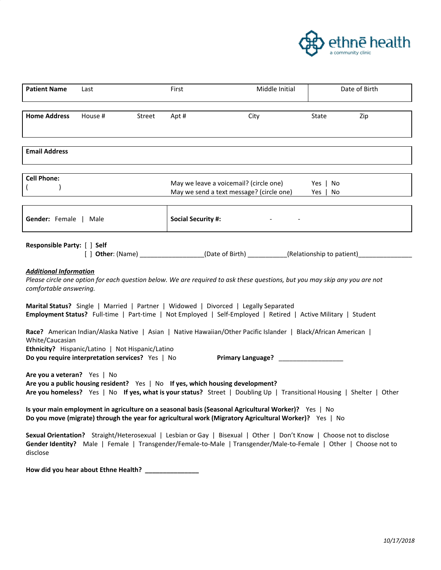

| <b>Patient Name</b>                                                                                                                                                                                                                                 | Last    |        | First                     | Middle Initial                                                                     | Date of Birth        |  |
|-----------------------------------------------------------------------------------------------------------------------------------------------------------------------------------------------------------------------------------------------------|---------|--------|---------------------------|------------------------------------------------------------------------------------|----------------------|--|
|                                                                                                                                                                                                                                                     |         |        |                           |                                                                                    |                      |  |
| <b>Home Address</b>                                                                                                                                                                                                                                 | House # | Street | Apt #                     | City                                                                               | Zip<br>State         |  |
| <b>Email Address</b>                                                                                                                                                                                                                                |         |        |                           |                                                                                    |                      |  |
| <b>Cell Phone:</b>                                                                                                                                                                                                                                  |         |        |                           | May we leave a voicemail? (circle one)<br>May we send a text message? (circle one) | Yes   No<br>Yes   No |  |
| <b>Gender:</b> Female   Male                                                                                                                                                                                                                        |         |        | <b>Social Security #:</b> |                                                                                    |                      |  |
| Responsible Party: [ ] Self<br>[ ] Other: (Name) _____________________(Date of Birth) ___________(Relationship to patient) _____________                                                                                                            |         |        |                           |                                                                                    |                      |  |
| <b>Additional Information</b><br>Please circle one option for each question below. We are required to ask these questions, but you may skip any you are not<br>comfortable answering.                                                               |         |        |                           |                                                                                    |                      |  |
| Marital Status? Single   Married   Partner   Widowed   Divorced   Legally Separated<br>Employment Status? Full-time   Part-time   Not Employed   Self-Employed   Retired   Active Military   Student                                                |         |        |                           |                                                                                    |                      |  |
| Race? American Indian/Alaska Native   Asian   Native Hawaiian/Other Pacific Islander   Black/African American  <br>White/Caucasian<br>Ethnicity? Hispanic/Latino   Not Hispanic/Latino<br><b>Do you require interpretation services?</b> Yes   No   |         |        |                           |                                                                                    |                      |  |
| Are you a veteran? Yes   No<br>Are you a public housing resident? Yes   No If yes, which housing development?<br>Are you homeless? Yes   No If yes, what is your status? Street   Doubling Up   Transitional Housing   Shelter   Other              |         |        |                           |                                                                                    |                      |  |
| Is your main employment in agriculture on a seasonal basis (Seasonal Agricultural Worker)? Yes   No<br>Do you move (migrate) through the year for agricultural work (Migratory Agricultural Worker)? Yes   No                                       |         |        |                           |                                                                                    |                      |  |
| Sexual Orientation? Straight/Heterosexual   Lesbian or Gay   Bisexual   Other   Don't Know   Choose not to disclose<br>Gender Identity? Male   Female   Transgender/Female-to-Male   Transgender/Male-to-Female   Other   Choose not to<br>disclose |         |        |                           |                                                                                    |                      |  |
| How did you hear about Ethne Health?                                                                                                                                                                                                                |         |        |                           |                                                                                    |                      |  |